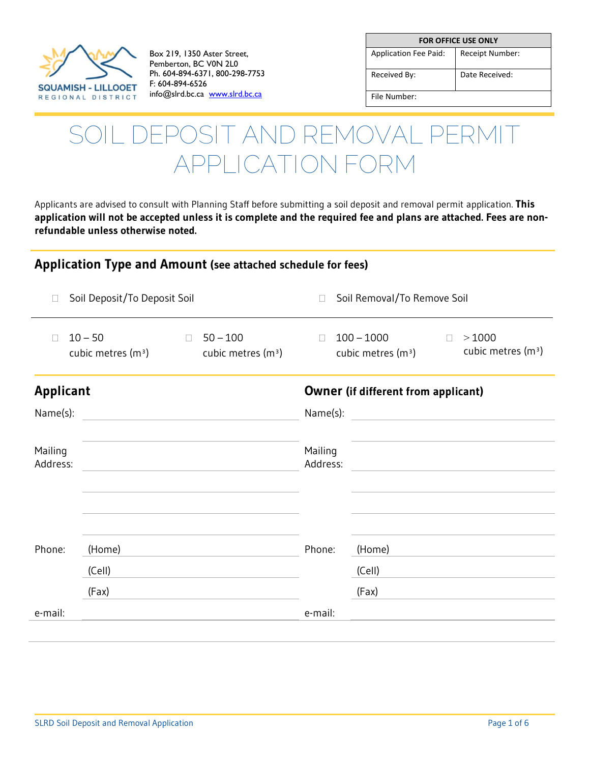

Box 219, 1350 Aster Street, Pemberton, BC V0N 2L0 Ph. 604-894-6371, 800-298-7753 F: 604-894-6526 info@slrd.bc.ca [www.slrd.bc.ca](http://www.slrd.bc.ca/)

| <b>FOR OFFICE USE ONLY</b>   |                 |  |  |
|------------------------------|-----------------|--|--|
| <b>Application Fee Paid:</b> | Receipt Number: |  |  |
| Received By:                 | Date Received:  |  |  |
| File Number:                 |                 |  |  |

# **SOIL DEPOSIT AND REMOVAL PERMIT APPLICATION FORM**

Applicants are advised to consult with Planning Staff before submitting a soil deposit and removal permit application. **This application will not be accepted unless it is complete and the required fee and plans are attached. Fees are nonrefundable unless otherwise noted.** 

#### **Application Type and Amount (see attached schedule for fees)**

|                     | Soil Deposit/To Deposit Soil     |        |                                    | $\Box$                                     | Soil Removal/To Remove Soil                                                              |
|---------------------|----------------------------------|--------|------------------------------------|--------------------------------------------|------------------------------------------------------------------------------------------|
|                     | $10 - 50$<br>cubic metres $(m3)$ | $\Box$ | $50 - 100$<br>cubic metres $(m^3)$ | $\Box$                                     | $100 - 1000$<br>>1000<br>$\Box$<br>cubic metres (m <sup>3</sup> )<br>cubic metres $(m3)$ |
| <b>Applicant</b>    |                                  |        |                                    | <b>Owner (if different from applicant)</b> |                                                                                          |
| Name(s):            |                                  |        |                                    | Name(s):                                   |                                                                                          |
| Mailing<br>Address: |                                  |        |                                    | Mailing<br>Address:                        | the control of the control of the control of the control of the control of               |
| Phone:              | (Home)<br>(Cell)                 |        |                                    | Phone:                                     | (Home)<br>(Cell)                                                                         |
|                     | (Fax)                            |        |                                    |                                            | (Fax)                                                                                    |
| e-mail:             |                                  |        |                                    | e-mail:                                    |                                                                                          |
|                     |                                  |        |                                    |                                            |                                                                                          |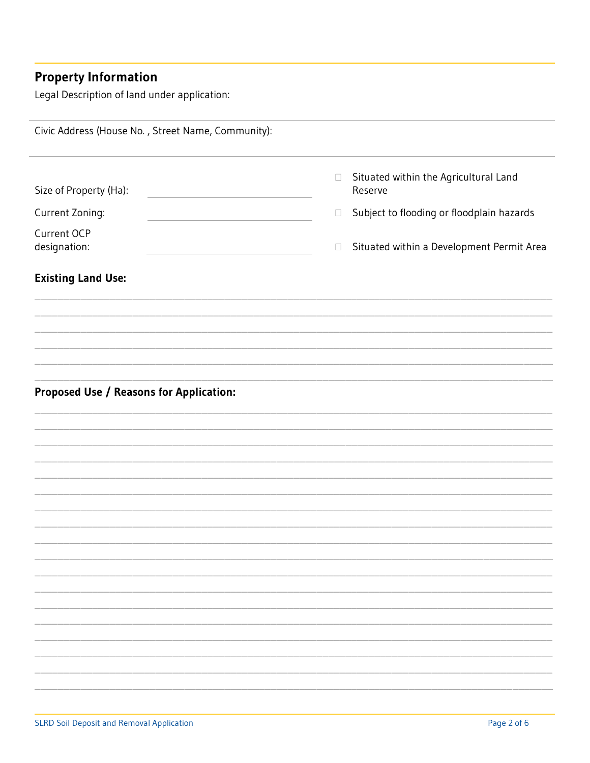## **Property Information**

Legal Description of land under application:

| Civic Address (House No., Street Name, Community): |                                                            |  |
|----------------------------------------------------|------------------------------------------------------------|--|
| Size of Property (Ha):                             | Situated within the Agricultural Land<br>$\Box$<br>Reserve |  |
| Current Zoning:                                    | Subject to flooding or floodplain hazards<br>$\Box$        |  |
| Current OCP<br>designation:                        | Situated within a Development Permit Area<br>$\Box$        |  |
| <b>Existing Land Use:</b>                          |                                                            |  |
|                                                    |                                                            |  |
|                                                    |                                                            |  |
|                                                    |                                                            |  |
|                                                    |                                                            |  |
|                                                    |                                                            |  |
| <b>Proposed Use / Reasons for Application:</b>     |                                                            |  |
|                                                    |                                                            |  |
|                                                    |                                                            |  |
|                                                    |                                                            |  |
|                                                    |                                                            |  |
|                                                    |                                                            |  |
|                                                    |                                                            |  |
|                                                    |                                                            |  |
|                                                    |                                                            |  |
|                                                    |                                                            |  |
|                                                    |                                                            |  |
|                                                    |                                                            |  |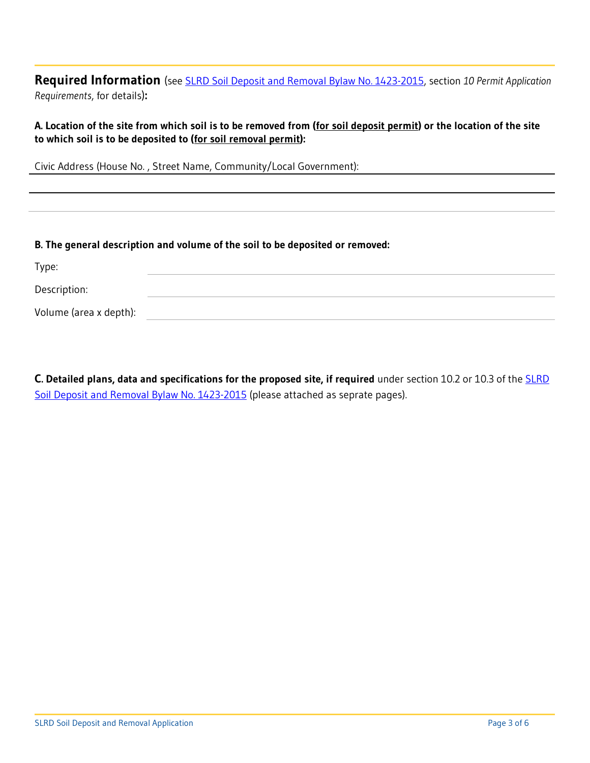**Required Information** (see [SLRD Soil Deposit and Removal Bylaw No. 1423-2015,](http://www.slrd.bc.ca/sites/default/files/bylaws/pdf/SLRD%20Soil%20Deposit%20and%20Removal%20Bylaw%201423-2015_FINAL_for%20adoption.pdf) section *10 Permit Application Requirements*, for details)**:**

**A. Location of the site from which soil is to be removed from (for soil deposit permit) or the location of the site to which soil is to be deposited to (for soil removal permit):**

Civic Address (House No. , Street Name, Community/Local Government):

#### **B. The general description and volume of the soil to be deposited or removed:**

| Type:                  |  |
|------------------------|--|
| Description:           |  |
| Volume (area x depth): |  |

**C. Detailed plans, data and specifications for the proposed site, if required** under section 10.2 or 10.3 of the [SLRD](http://www.slrd.bc.ca/sites/default/files/bylaws/pdf/SLRD%20Soil%20Deposit%20and%20Removal%20Bylaw%201423-2015_FINAL_for%20adoption.pdf)  [Soil Deposit and Removal Bylaw No. 1423-2015](http://www.slrd.bc.ca/sites/default/files/bylaws/pdf/SLRD%20Soil%20Deposit%20and%20Removal%20Bylaw%201423-2015_FINAL_for%20adoption.pdf) (please attached as seprate pages).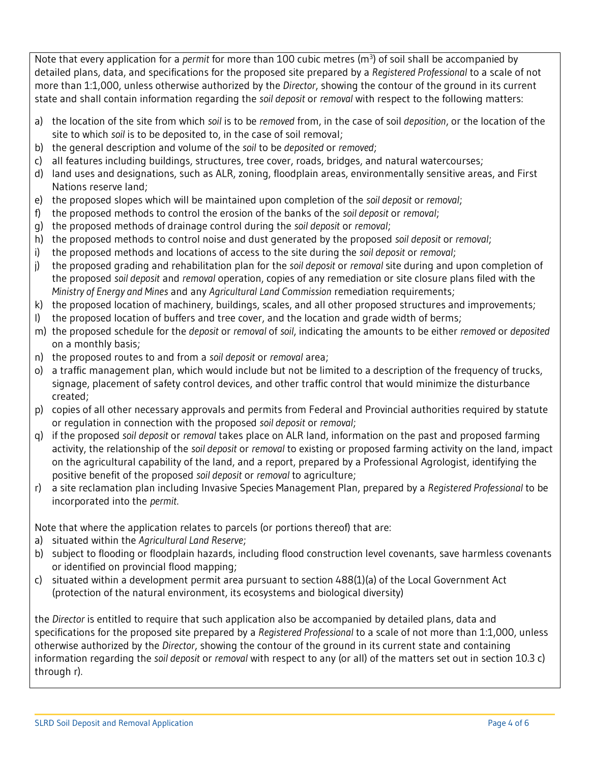Note that every application for a *permit* for more than 100 cubic metres (m<sup>3</sup>) of soil shall be accompanied by detailed plans, data, and specifications for the proposed site prepared by a *Registered Professional* to a scale of not more than 1:1,000, unless otherwise authorized by the *Director*, showing the contour of the ground in its current state and shall contain information regarding the *soil deposit* or *removal* with respect to the following matters:

- a) the location of the site from which *soil* is to be *removed* from, in the case of soil *deposition*, or the location of the site to which *soil* is to be deposited to, in the case of soil removal;
- b) the general description and volume of the *soil* to be *deposited* or *removed*;
- c) all features including buildings, structures, tree cover, roads, bridges, and natural watercourses;
- d) land uses and designations, such as ALR, zoning, floodplain areas, environmentally sensitive areas, and First Nations reserve land;
- e) the proposed slopes which will be maintained upon completion of the *soil deposit* or *removal*;
- f) the proposed methods to control the erosion of the banks of the *soil deposit* or *removal*;
- g) the proposed methods of drainage control during the *soil deposit* or *removal*;
- h) the proposed methods to control noise and dust generated by the proposed *soil deposit* or *removal*;
- i) the proposed methods and locations of access to the site during the *soil deposit* or *removal*;
- j) the proposed grading and rehabilitation plan for the *soil deposit* or *removal* site during and upon completion of the proposed *soil deposit* and *removal* operation, copies of any remediation or site closure plans filed with the *Ministry of Energy and Mines* and any *Agricultural Land Commission* remediation requirements;
- k) the proposed location of machinery, buildings, scales, and all other proposed structures and improvements;
- l) the proposed location of buffers and tree cover, and the location and grade width of berms;
- m) the proposed schedule for the *deposit* or *removal* of *soil*, indicating the amounts to be either *removed* or *deposited* on a monthly basis;
- n) the proposed routes to and from a *soil deposit* or *removal* area;
- o) a traffic management plan, which would include but not be limited to a description of the frequency of trucks, signage, placement of safety control devices, and other traffic control that would minimize the disturbance created;
- p) copies of all other necessary approvals and permits from Federal and Provincial authorities required by statute or regulation in connection with the proposed *soil deposit* or *removal*;
- q) if the proposed *soil deposit* or *removal* takes place on ALR land, information on the past and proposed farming activity, the relationship of the *soil deposit* or *removal* to existing or proposed farming activity on the land, impact on the agricultural capability of the land, and a report, prepared by a Professional Agrologist, identifying the positive benefit of the proposed *soil deposit* or *removal* to agriculture;
- r) a site reclamation plan including Invasive Species Management Plan, prepared by a *Registered Professional* to be incorporated into the *permit*.

Note that where the application relates to parcels (or portions thereof) that are:

- a) situated within the *Agricultural Land Reserve*;
- b) subject to flooding or floodplain hazards, including flood construction level covenants, save harmless covenants or identified on provincial flood mapping;
- c) situated within a development permit area pursuant to section 488(1)(a) of the Local Government Act (protection of the natural environment, its ecosystems and biological diversity)

the *Director* is entitled to require that such application also be accompanied by detailed plans, data and specifications for the proposed site prepared by a *Registered Professional* to a scale of not more than 1:1,000, unless otherwise authorized by the *Director*, showing the contour of the ground in its current state and containing information regarding the *soil deposit* or *removal* with respect to any (or all) of the matters set out in section 10.3 c) through r).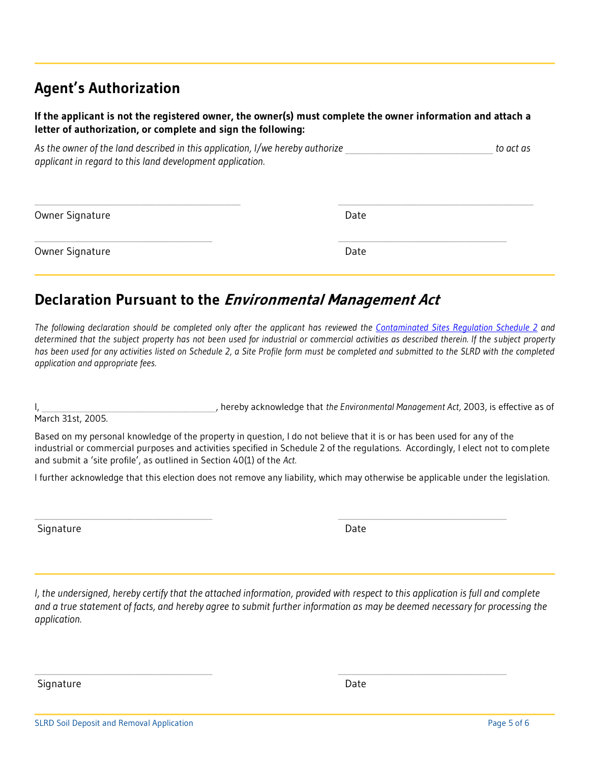### **Agent's Authorization**

#### **If the applicant is not the registered owner, the owner(s) must complete the owner information and attach a letter of authorization, or complete and sign the following:**

As the owner of the land described in this application, I/we hereby authorize *As the owner* of the land described in this application, I/we hereby authorize *applicant in regard to this land development application.*

| Owner Signature | Date |  |
|-----------------|------|--|
| Owner Signature | Date |  |

### **Declaration Pursuant to the Environmental Management Act**

*The following declaration should be completed only after the applicant has reviewed the [Contaminated Sites Regulation Schedule 2](http://www.bclaws.ca/civix/document/LOC/complete/statreg/--%20E%20--/Environmental%20Management%20Act%20%5bSBC%202003%5d%20c.%2053/05_Regulations/21_375_96%20-%20Contaminated%20Sites%20Regulation/375_96_04.xml#Schedule2) and determined that the subject property has not been used for industrial or commercial activities as described therein. If the subject property*  has been used for any activities listed on Schedule 2, a Site Profile form must be completed and submitted to the SLRD with the completed *application and appropriate fees.*

I, \_\_\_\_\_\_\_\_\_\_\_\_\_\_\_\_\_\_\_\_\_\_\_\_\_\_\_\_\_\_\_\_\_\_\_\_\_\_\_\_\_\_, hereby acknowledge that *the Environmental Management Act,* 2003, is effective as of

March 31st, 2005.

Based on my personal knowledge of the property in question, I do not believe that it is or has been used for any of the industrial or commercial purposes and activities specified in Schedule 2 of the regulations. Accordingly, I elect not to complete and submit a 'site profile', as outlined in Section 40(1) of the *Act.*

I further acknowledge that this election does not remove any liability, which may otherwise be applicable under the legislation.

 $\_$  , and the set of the set of the set of the set of the set of the set of the set of the set of the set of the set of the set of the set of the set of the set of the set of the set of the set of the set of the set of th

 $\_$  , and the set of the set of the set of the set of the set of the set of the set of the set of the set of the set of the set of the set of the set of the set of the set of the set of the set of the set of the set of th

Signature Date

*I, the undersigned, hereby certify that the attached information, provided with respect to this application is full and complete and a true statement of facts, and hereby agree to submit further information as may be deemed necessary for processing the application.* 

Signature Date Date Communications and the Date Date Date